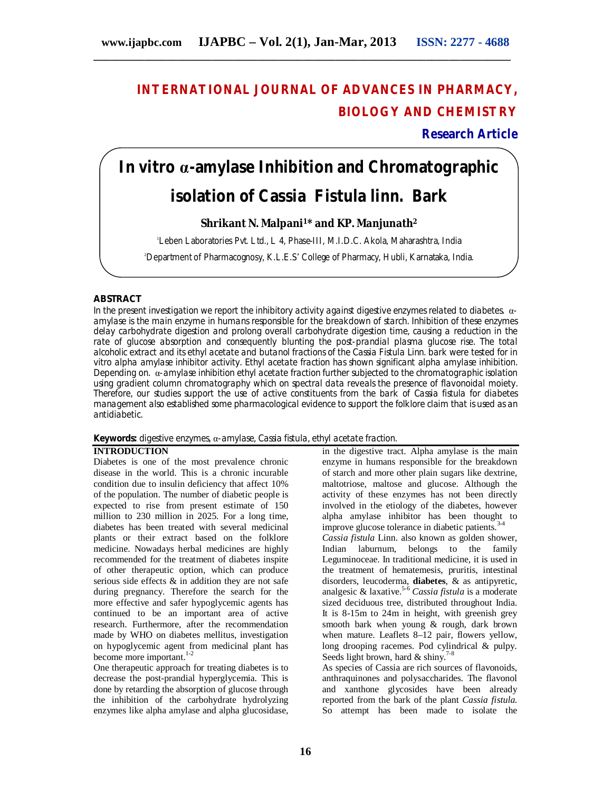## **INTERNATIONAL JOURNAL OF ADVANCES IN PHARMACY, BIOLOGY AND CHEMISTRY**

**Research Article**

# **In vitro α-amylase Inhibition and Chromatographic isolation of** *Cassia Fistula* **linn. Bark**

#### **Shrikant N. Malpani<sup>1</sup>\* and KP. Manjunath<sup>2</sup>**

<sup>1</sup>Leben Laboratories Pvt. Ltd., L 4, Phase-III, M.I.D.C. Akola, Maharashtra, India

2Department of Pharmacognosy, K.L.E.S' College of Pharmacy, Hubli, Karnataka, India.

#### **ABSTRACT**

In the present investigation we report the inhibitory activity against digestive enzymes related to diabetes. αamylase is the main enzyme in humans responsible for the breakdown of starch. Inhibition of these enzymes delay carbohydrate digestion and prolong overall carbohydrate digestion time, causing a reduction in the rate of glucose absorption and consequently blunting the post-prandial plasma glucose rise. The total alcoholic extract and its ethyl acetate and butanol fractions of the *Cassia Fistula* Linn. bark were tested for in vitro alpha amylase inhibitor activity. Ethyl acetate fraction has shown significant alpha amylase inhibition. Depending on. α-amylase inhibition ethyl acetate fraction further subjected to the chromatographic isolation using gradient column chromatography which on spectral data reveals the presence of flavonoidal moiety. Therefore, our studies support the use of active constituents from the bark of *Cassia fistula* for diabetes management also established some pharmacological evidence to support the folklore claim that is used as an antidiabetic.

**Keywords:** digestive enzymes, α-amylase, *Cassia fistula*, ethyl acetate fraction.

#### **INTRODUCTION**

Diabetes is one of the most prevalence chronic disease in the world. This is a chronic incurable condition due to insulin deficiency that affect 10% of the population. The number of diabetic people is expected to rise from present estimate of 150 million to 230 million in 2025. For a long time, diabetes has been treated with several medicinal plants or their extract based on the folklore medicine. Nowadays herbal medicines are highly recommended for the treatment of diabetes inspite of other therapeutic option, which can produce serious side effects & in addition they are not safe during pregnancy. Therefore the search for the more effective and safer hypoglycemic agents has continued to be an important area of active research. Furthermore, after the recommendation made by WHO on diabetes mellitus, investigation on hypoglycemic agent from medicinal plant has become more important.<sup>1-2</sup>

One therapeutic approach for treating diabetes is to decrease the post-prandial hyperglycemia. This is done by retarding the absorption of glucose through the inhibition of the carbohydrate hydrolyzing enzymes like alpha amylase and alpha glucosidase,

in the digestive tract. Alpha amylase is the main enzyme in humans responsible for the breakdown of starch and more other plain sugars like dextrine, maltotriose, maltose and glucose. Although the activity of these enzymes has not been directly involved in the etiology of the diabetes, however alpha amylase inhibitor has been thought to improve glucose tolerance in diabetic patients. 3-4 *Cassia fistula* Linn. also known as golden shower, Indian laburnum, belongs to the family Leguminoceae. In traditional medicine, it is used in the treatment of hematemesis, pruritis, intestinal disorders, leucoderma, **diabetes**, & as antipyretic, analgesic & laxative.<sup>5-6</sup> *Cassia fistula* is a moderate sized deciduous tree, distributed throughout India. It is 8-15m to 24m in height, with greenish grey

smooth bark when young & rough, dark brown when mature. Leaflets 8–12 pair, flowers yellow, long drooping racemes. Pod cylindrical & pulpy. Seeds light brown, hard & shiny.<sup>7-8</sup> As species of Cassia are rich sources of flavonoids,

anthraquinones and polysaccharides. The flavonol and xanthone glycosides have been already reported from the bark of the plant *Cassia fistula.* So attempt has been made to isolate the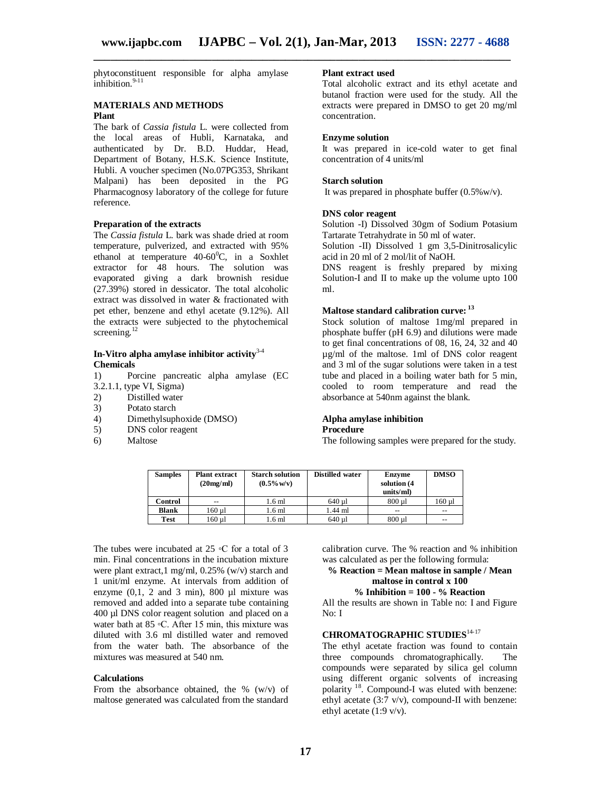phytoconstituent responsible for alpha amylase  $i$ nhibition.<sup>9-11</sup>

### **MATERIALS AND METHODS**

#### **Plant**

The bark of *Cassia fistula* L. were collected from the local areas of Hubli, Karnataka, and authenticated by Dr. B.D. Huddar, Head, Department of Botany, H.S.K. Science Institute, Hubli. A voucher specimen (No.07PG353, Shrikant Malpani) has been deposited in the PG Pharmacognosy laboratory of the college for future reference.

#### **Preparation of the extracts**

The *Cassia fistula* L. bark was shade dried at room temperature, pulverized, and extracted with 95% ethanol at temperature  $40-60^{\circ}$ C, in a Soxhlet extractor for 48 hours. The solution was evaporated giving a dark brownish residue (27.39%) stored in dessicator. The total alcoholic extract was dissolved in water & fractionated with pet ether, benzene and ethyl acetate (9.12%). All the extracts were subjected to the phytochemical screening.<sup>12</sup>

#### **In-Vitro alpha amylase inhibitor activity**3-4 **Chemicals**

1) Porcine pancreatic alpha amylase (EC 3.2.1.1, type VI, Sigma)<br>2) Distilled water

- 2) Distilled water<br>3) Potato starch
- 3) Potato starch<br>4) Dimethylsuph
- 4) Dimethylsuphoxide (DMSO)<br>5) DNS color reagent
- DNS color reagent
- 6) Maltose

#### **Plant extract used**

Total alcoholic extract and its ethyl acetate and butanol fraction were used for the study. All the extracts were prepared in DMSO to get 20 mg/ml concentration.

#### **Enzyme solution**

It was prepared in ice-cold water to get final concentration of 4 units/ml

#### **Starch solution**

It was prepared in phosphate buffer (0.5%w/v).

#### **DNS color reagent**

Solution -I) Dissolved 30gm of Sodium Potasium Tartarate Tetrahydrate in 50 ml of water.

Solution -II) Dissolved 1 gm 3,5-Dinitrosalicylic acid in 20 ml of 2 mol/lit of NaOH.

DNS reagent is freshly prepared by mixing Solution-I and II to make up the volume upto 100 ml.

#### **Maltose standard calibration curve: <sup>13</sup>**

Stock solution of maltose 1mg/ml prepared in phosphate buffer (pH 6.9) and dilutions were made to get final concentrations of 08, 16, 24, 32 and 40 µg/ml of the maltose. 1ml of DNS color reagent and 3 ml of the sugar solutions were taken in a test tube and placed in a boiling water bath for 5 min, cooled to room temperature and read the absorbance at 540nm against the blank.

#### **Alpha amylase inhibition Procedure**

The following samples were prepared for the study.

| <b>Samples</b> | <b>Plant extract</b><br>(20mg/ml) | <b>Starch solution</b><br>$(0.5\% \text{ w/v})$ | Distilled water | <b>Enzyme</b><br>solution (4<br>units/ml) | <b>DMSO</b> |
|----------------|-----------------------------------|-------------------------------------------------|-----------------|-------------------------------------------|-------------|
| Control        | $-$                               | 1.6 ml                                          | 640 ul          | 800 ul                                    | 160 ul      |
| <b>Blank</b>   | 160 u1                            | 1.6 <sub>m</sub>                                | 1.44 ml         | $-$                                       | --          |
| Test           | 160 ul                            | 1.6 ml                                          | 640 ul          | $800 \mu l$                               | --          |

The tubes were incubated at  $25 \text{ °C}$  for a total of 3 min. Final concentrations in the incubation mixture were plant extract, 1 mg/ml,  $0.25\%$  (w/v) starch and 1 unit/ml enzyme. At intervals from addition of enzyme  $(0,1, 2$  and 3 min), 800  $\mu$ l mixture was removed and added into a separate tube containing 400 µl DNS color reagent solution and placed on a water bath at 85 °C. After 15 min, this mixture was diluted with 3.6 ml distilled water and removed from the water bath. The absorbance of the mixtures was measured at 540 nm.

#### **Calculations**

From the absorbance obtained, the % (w/v) of maltose generated was calculated from the standard

calibration curve. The % reaction and % inhibition was calculated as per the following formula:

#### **% Reaction = Mean maltose in sample / Mean maltose in control x 100 % Inhibition = 100 - % Reaction**

All the results are shown in Table no: I and Figure No: I

#### **CHROMATOGRAPHIC STUDIES**14-17

The ethyl acetate fraction was found to contain three compounds chromatographically. The compounds were separated by silica gel column using different organic solvents of increasing polarity<sup>18</sup>. Compound-I was eluted with benzene: ethyl acetate (3:7 v/v), compound-II with benzene: ethyl acetate (1:9 v/v).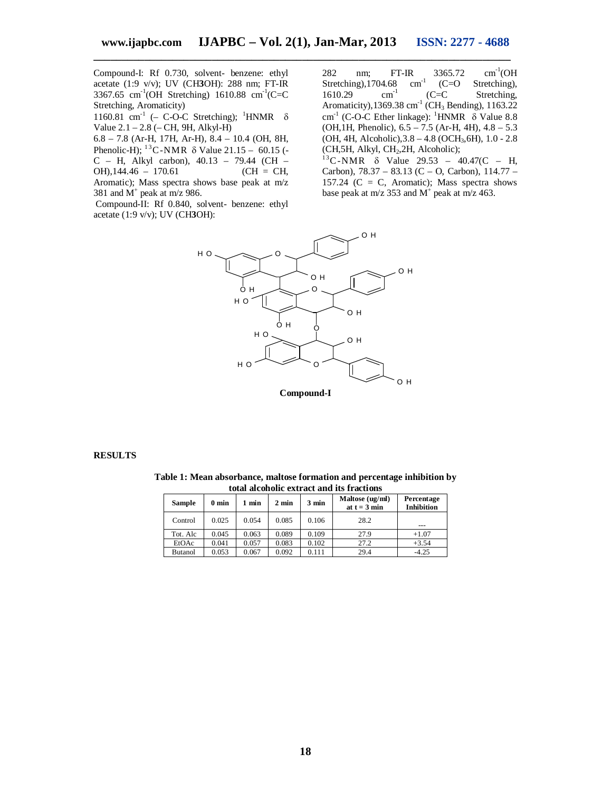Compound-I: Rf 0.730, solvent- benzene: ethyl acetate (1:9 v/v); UV (CH**3**OH): 288 nm; FT-IR 3367.65 cm<sup>-1</sup>(OH Stretching)  $1610.88$  cm<sup>-1</sup>(C=C Stretching, Aromaticity)

1160.81 cm<sup>-1</sup> (- C-O-C Stretching); <sup>1</sup>HNMR  $\delta$ Value  $2.1 - 2.8$  ( $-$  CH, 9H, Alkyl-H)

6.8 – 7.8 (Ar-H, 17H, Ar-H), 8.4 – 10.4 (OH, 8H, Phenolic-H);  $^{13}$ C-NMR  $\delta$  Value 21.15 – 60.15 (-C – H, Alkyl carbon), 40.13 – 79.44 (CH –  $OH)$ , 144.46 – 170.61 (CH = CH, Aromatic); Mass spectra shows base peak at m/z 381 and  $M^+$  peak at m/z 986.

Compound-II: Rf 0.840, solvent- benzene: ethyl acetate (1:9 v/v); UV (CH**3**OH):

282 nm; FT-IR 3365.72<br>Stretching),1704.68 cm<sup>-1</sup> (C=O  $cm^{-1}$ (OH Stretching),1704.68 cm<sup>-1</sup> (C=C<br>1610.29 cm<sup>-1</sup> (C=C Stretching), 1610.29 Stretching, Aromaticity),  $1369.38 \text{ cm}^{-1}$  (CH<sub>3</sub> Bending),  $1163.22$ cm<sup>-1</sup> (C-O-C Ether linkage): <sup>1</sup>HNMR  $\delta$  Value 8.8 (OH,1H, Phenolic), 6.5 – 7.5 (Ar-H, 4H), 4.8 – 5.3 (OH, 4H, Alcoholic),3.8 – 4.8 (OCH3,6H), 1.0 - 2.8 (CH,5H, Alkyl, CH2,2H, Alcoholic);

 $^{13}$ C-NMR  $\delta$  Value 29.53 – 40.47(C – H, Carbon), 78.37 – 83.13 (C – O, Carbon), 114.77 – 157.24 ( $C = C$ , Aromatic); Mass spectra shows base peak at m/z 353 and  $M^+$  peak at m/z 463.



#### **RESULTS**

**Table 1: Mean absorbance, maltose formation and percentage inhibition by total alcoholic extract and its fractions**

| <b>Sample</b>  | $0 \text{ min}$ | 1 min | $2 \text{ min}$ | $3 \text{ min}$ | Maltose (ug/ml)<br>at $t = 3$ min | Percentage<br><b>Inhibition</b> |
|----------------|-----------------|-------|-----------------|-----------------|-----------------------------------|---------------------------------|
| Control        | 0.025           | 0.054 | 0.085           | 0.106           | 28.2                              | ---                             |
| Tot. Alc       | 0.045           | 0.063 | 0.089           | 0.109           | 27.9                              | $+1.07$                         |
| EtOAc          | 0.041           | 0.057 | 0.083           | 0.102           | 27.2                              | $+3.54$                         |
| <b>Butanol</b> | 0.053           | 0.067 | 0.092           | 0.111           | 29.4                              | $-4.25$                         |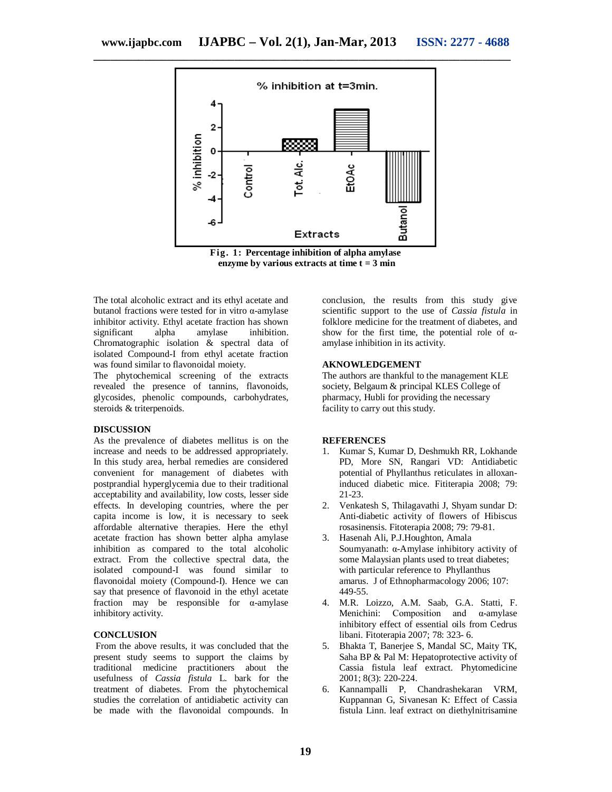

**Fig. 1: Percentage inhibition of alpha amylase enzyme by various extracts at time t = 3 min**

The total alcoholic extract and its ethyl acetate and butanol fractions were tested for in vitro α-amylase inhibitor activity. Ethyl acetate fraction has shown significant alpha amylase inhibition. Chromatographic isolation & spectral data of isolated Compound-I from ethyl acetate fraction was found similar to flavonoidal moiety.

The phytochemical screening of the extracts revealed the presence of tannins, flavonoids, glycosides, phenolic compounds, carbohydrates, steroids & triterpenoids.

#### **DISCUSSION**

As the prevalence of diabetes mellitus is on the increase and needs to be addressed appropriately. In this study area, herbal remedies are considered convenient for management of diabetes with postprandial hyperglycemia due to their traditional acceptability and availability, low costs, lesser side effects. In developing countries, where the per capita income is low, it is necessary to seek affordable alternative therapies. Here the ethyl acetate fraction has shown better alpha amylase inhibition as compared to the total alcoholic extract. From the collective spectral data, the isolated compound-I was found similar to flavonoidal moiety (Compound-I). Hence we can say that presence of flavonoid in the ethyl acetate fraction may be responsible for  $\alpha$ -amylase inhibitory activity.

#### **CONCLUSION**

From the above results, it was concluded that the present study seems to support the claims by traditional medicine practitioners about the usefulness of *Cassia fistula* L. bark for the treatment of diabetes. From the phytochemical studies the correlation of antidiabetic activity can be made with the flavonoidal compounds. In

conclusion, the results from this study give scientific support to the use of *Cassia fistula* in folklore medicine for the treatment of diabetes, and show for the first time, the potential role of  $\alpha$ amylase inhibition in its activity.

#### **AKNOWLEDGEMENT**

The authors are thankful to the management KLE society, Belgaum & principal KLES College of pharmacy, Hubli for providing the necessary facility to carry out this study.

#### **REFERENCES**

- 1. Kumar S, Kumar D, Deshmukh RR, Lokhande PD, More SN, Rangari VD: Antidiabetic potential of Phyllanthus reticulates in alloxaninduced diabetic mice. Fititerapia 2008; 79: 21-23.
- 2. Venkatesh S, Thilagavathi J, Shyam sundar D: Anti-diabetic activity of flowers of Hibiscus rosasinensis. Fitoterapia 2008; 79: 79-81.
- 3. Hasenah Ali, P.J.Houghton, Amala Soumyanath: α-Amylase inhibitory activity of some Malaysian plants used to treat diabetes; with particular reference to Phyllanthus amarus. J of Ethnopharmacology 2006; 107: 449-55.
- 4. M.R. Loizzo, A.M. Saab, G.A. Statti, F. Menichini: Composition and α-amylase inhibitory effect of essential oils from Cedrus libani. Fitoterapia 2007; 78: 323- 6.
- 5. Bhakta T, Banerjee S, Mandal SC, Maity TK, Saha BP & Pal M: Hepatoprotective activity of Cassia fistula leaf extract. Phytomedicine 2001; 8(3): 220-224.
- 6. Kannampalli P, Chandrashekaran VRM, Kuppannan G, Sivanesan K: Effect of Cassia fistula Linn. leaf extract on diethylnitrisamine